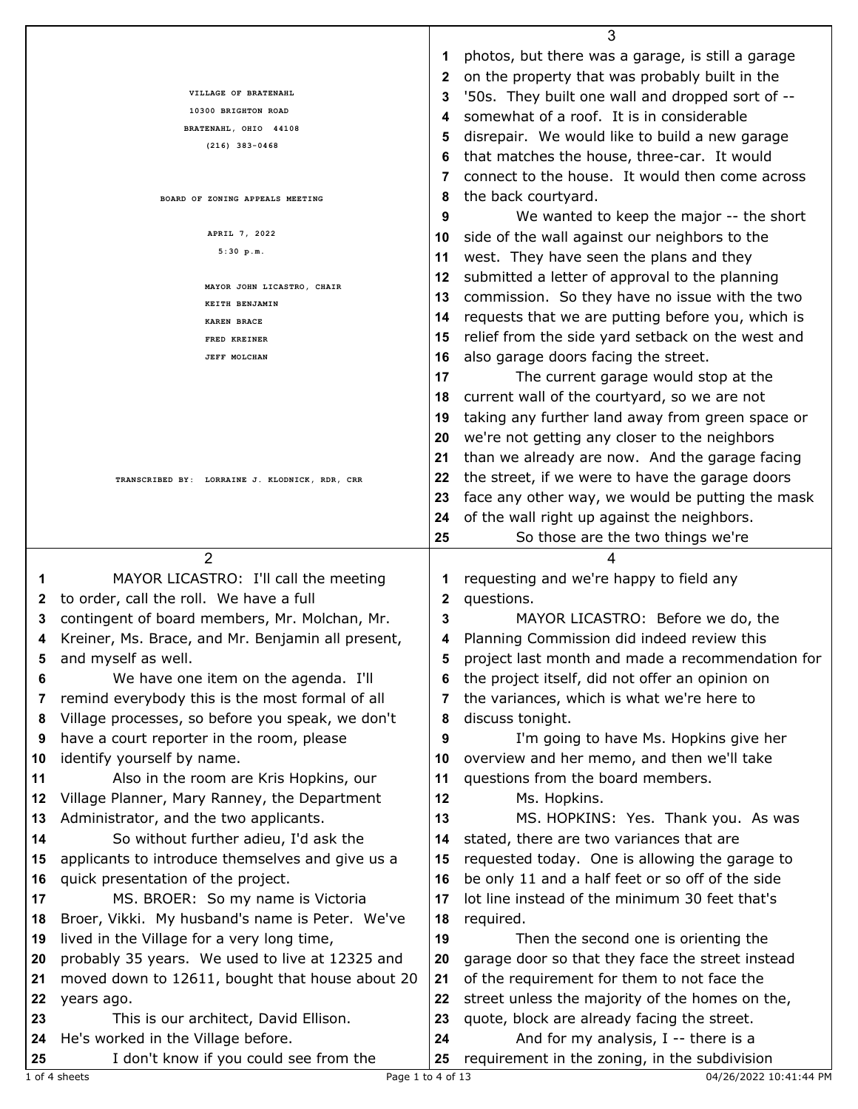|    |                                                                              |          | 3                                                                                      |
|----|------------------------------------------------------------------------------|----------|----------------------------------------------------------------------------------------|
|    |                                                                              | 1        | photos, but there was a garage, is still a garage                                      |
|    |                                                                              | 2        | on the property that was probably built in the                                         |
|    | VILLAGE OF BRATENAHL                                                         | 3        | '50s. They built one wall and dropped sort of --                                       |
|    | 10300 BRIGHTON ROAD                                                          | 4        | somewhat of a roof. It is in considerable                                              |
|    | BRATENAHL, OHIO 44108                                                        | 5        | disrepair. We would like to build a new garage                                         |
|    | $(216)$ 383-0468                                                             | 6        | that matches the house, three-car. It would                                            |
|    |                                                                              | 7        | connect to the house. It would then come across                                        |
|    |                                                                              |          |                                                                                        |
|    | BOARD OF ZONING APPEALS MEETING                                              | 8        | the back courtyard.                                                                    |
|    |                                                                              | 9        | We wanted to keep the major -- the short                                               |
|    | APRIL 7, 2022                                                                | 10       | side of the wall against our neighbors to the                                          |
|    | 5:30 p.m.                                                                    | 11       | west. They have seen the plans and they                                                |
|    | MAYOR JOHN LICASTRO, CHAIR                                                   | 12       | submitted a letter of approval to the planning                                         |
|    | KEITH BENJAMIN                                                               | 13       | commission. So they have no issue with the two                                         |
|    | <b>KAREN BRACE</b>                                                           | 14       | requests that we are putting before you, which is                                      |
|    | FRED KREINER                                                                 | 15       | relief from the side yard setback on the west and                                      |
|    | <b>JEFF MOLCHAN</b>                                                          | 16       | also garage doors facing the street.                                                   |
|    |                                                                              | 17       | The current garage would stop at the                                                   |
|    |                                                                              | 18       | current wall of the courtyard, so we are not                                           |
|    |                                                                              | 19       | taking any further land away from green space or                                       |
|    |                                                                              | 20       | we're not getting any closer to the neighbors                                          |
|    |                                                                              |          |                                                                                        |
|    |                                                                              | 21       | than we already are now. And the garage facing                                         |
|    | TRANSCRIBED BY: LORRAINE J. KLODNICK, RDR, CRR                               | 22       | the street, if we were to have the garage doors                                        |
|    |                                                                              | 23       | face any other way, we would be putting the mask                                       |
|    |                                                                              | 24       | of the wall right up against the neighbors.                                            |
|    |                                                                              | 25       | So those are the two things we're                                                      |
|    |                                                                              |          |                                                                                        |
|    | $\overline{2}$                                                               |          | 4                                                                                      |
| 1  | MAYOR LICASTRO: I'll call the meeting                                        | 1        | requesting and we're happy to field any                                                |
| 2  | to order, call the roll. We have a full                                      | 2        | questions.                                                                             |
| 3  | contingent of board members, Mr. Molchan, Mr.                                | 3        | MAYOR LICASTRO: Before we do, the                                                      |
| 4  | Kreiner, Ms. Brace, and Mr. Benjamin all present,                            | 4        | Planning Commission did indeed review this                                             |
|    | and myself as well.                                                          |          | project last month and made a recommendation for                                       |
| 6  | We have one item on the agenda. I'll                                         | 6        | the project itself, did not offer an opinion on                                        |
| 7  |                                                                              | 7        |                                                                                        |
|    | remind everybody this is the most formal of all                              |          | the variances, which is what we're here to                                             |
| 8  | Village processes, so before you speak, we don't                             | 8        | discuss tonight.                                                                       |
| 9  | have a court reporter in the room, please                                    | 9        | I'm going to have Ms. Hopkins give her                                                 |
| 10 | identify yourself by name.                                                   | 10       | overview and her memo, and then we'll take                                             |
| 11 | Also in the room are Kris Hopkins, our                                       | 11       | questions from the board members.                                                      |
| 12 | Village Planner, Mary Ranney, the Department                                 | 12       | Ms. Hopkins.                                                                           |
| 13 | Administrator, and the two applicants.                                       | 13       | MS. HOPKINS: Yes. Thank you. As was                                                    |
| 14 | So without further adieu, I'd ask the                                        | 14       | stated, there are two variances that are                                               |
| 15 | applicants to introduce themselves and give us a                             | 15       | requested today. One is allowing the garage to                                         |
| 16 | quick presentation of the project.                                           | 16       | be only 11 and a half feet or so off of the side                                       |
| 17 | MS. BROER: So my name is Victoria                                            | 17       | lot line instead of the minimum 30 feet that's                                         |
| 18 | Broer, Vikki. My husband's name is Peter. We've                              | 18       | required.                                                                              |
| 19 | lived in the Village for a very long time,                                   | 19       | Then the second one is orienting the                                                   |
| 20 | probably 35 years. We used to live at 12325 and                              | 20       | garage door so that they face the street instead                                       |
| 21 | moved down to 12611, bought that house about 20                              | 21       | of the requirement for them to not face the                                            |
| 22 | years ago.                                                                   | 22       | street unless the majority of the homes on the,                                        |
| 23 | This is our architect, David Ellison.                                        | 23       | quote, block are already facing the street.                                            |
| 24 |                                                                              |          |                                                                                        |
| 25 | He's worked in the Village before.<br>I don't know if you could see from the | 24<br>25 | And for my analysis, $I -$ there is a<br>requirement in the zoning, in the subdivision |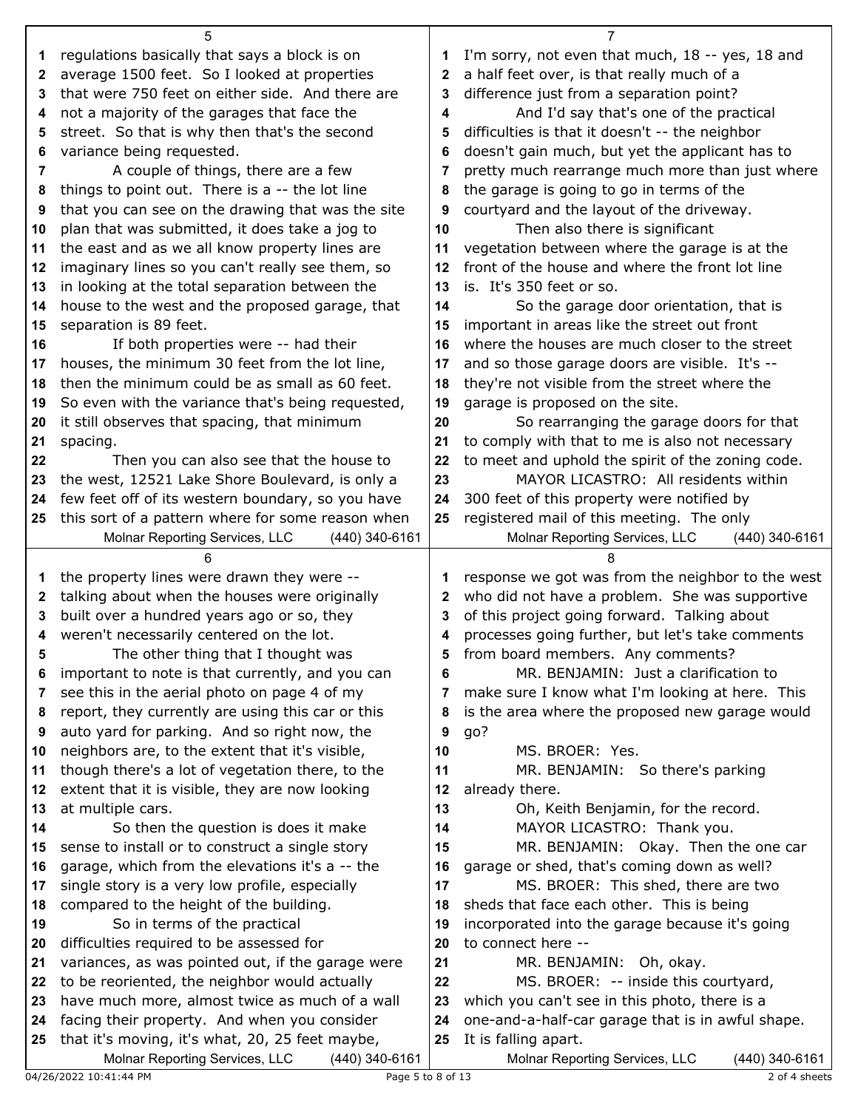|              | 5                                                                                         |              |                                                                                    |
|--------------|-------------------------------------------------------------------------------------------|--------------|------------------------------------------------------------------------------------|
| 1            | regulations basically that says a block is on                                             | 1            | I'm sorry, not even that much, 18 -- yes, 18 and                                   |
| $\mathbf{2}$ | average 1500 feet. So I looked at properties                                              | $\mathbf{2}$ | a half feet over, is that really much of a                                         |
| 3            | that were 750 feet on either side. And there are                                          | 3            | difference just from a separation point?                                           |
| 4            | not a majority of the garages that face the                                               | 4            | And I'd say that's one of the practical                                            |
| 5            | street. So that is why then that's the second                                             | 5            | difficulties is that it doesn't -- the neighbor                                    |
| 6            | variance being requested.                                                                 | 6            | doesn't gain much, but yet the applicant has to                                    |
| 7            | A couple of things, there are a few                                                       | 7            | pretty much rearrange much more than just where                                    |
| 8            | things to point out. There is a -- the lot line                                           | 8            | the garage is going to go in terms of the                                          |
| 9            | that you can see on the drawing that was the site                                         | 9            | courtyard and the layout of the driveway.                                          |
| 10           | plan that was submitted, it does take a jog to                                            | 10           | Then also there is significant                                                     |
| 11           | the east and as we all know property lines are                                            | 11           | vegetation between where the garage is at the                                      |
| 12           | imaginary lines so you can't really see them, so                                          | 12           | front of the house and where the front lot line                                    |
| 13           | in looking at the total separation between the                                            | 13           | is. It's 350 feet or so.                                                           |
| 14           | house to the west and the proposed garage, that                                           | 14           | So the garage door orientation, that is                                            |
| 15           | separation is 89 feet.                                                                    | 15           | important in areas like the street out front                                       |
| 16           | If both properties were -- had their                                                      | 16           | where the houses are much closer to the street                                     |
| 17           | houses, the minimum 30 feet from the lot line,                                            | 17           | and so those garage doors are visible. It's --                                     |
| 18           | then the minimum could be as small as 60 feet.                                            | 18           | they're not visible from the street where the                                      |
| 19           | So even with the variance that's being requested,                                         | 19           | garage is proposed on the site.                                                    |
| 20           | it still observes that spacing, that minimum                                              | 20           | So rearranging the garage doors for that                                           |
| 21           | spacing.                                                                                  | 21           | to comply with that to me is also not necessary                                    |
| 22           | Then you can also see that the house to                                                   | 22           | to meet and uphold the spirit of the zoning code.                                  |
| 23           | the west, 12521 Lake Shore Boulevard, is only a                                           | 23           | MAYOR LICASTRO: All residents within                                               |
| 24           | few feet off of its western boundary, so you have                                         | 24           | 300 feet of this property were notified by                                         |
| 25           | this sort of a pattern where for some reason when                                         | 25           | registered mail of this meeting. The only                                          |
|              | Molnar Reporting Services, LLC<br>(440) 340-6161                                          |              | Molnar Reporting Services, LLC<br>(440) 340-6161                                   |
|              |                                                                                           |              |                                                                                    |
|              | 6                                                                                         |              |                                                                                    |
| 1            | the property lines were drawn they were --                                                | 1            | response we got was from the neighbor to the west                                  |
| 2            | talking about when the houses were originally                                             | 2            | who did not have a problem. She was supportive                                     |
| 3            | built over a hundred years ago or so, they                                                | 3            | of this project going forward. Talking about                                       |
| 4            | weren't necessarily centered on the lot.                                                  | 4            | processes going further, but let's take comments                                   |
| 5            | The other thing that I thought was                                                        | 5            | from board members. Any comments?                                                  |
| 6            | important to note is that currently, and you can                                          | 6            | MR. BENJAMIN: Just a clarification to                                              |
| 7            | see this in the aerial photo on page 4 of my                                              | 7            | make sure I know what I'm looking at here. This                                    |
| 8            | report, they currently are using this car or this                                         | 8            | is the area where the proposed new garage would                                    |
| 9            | auto yard for parking. And so right now, the                                              | 9            | go?                                                                                |
| 10           | neighbors are, to the extent that it's visible,                                           | 10           | MS. BROER: Yes.                                                                    |
| 11           | though there's a lot of vegetation there, to the                                          | 11           | MR. BENJAMIN: So there's parking                                                   |
| 12           | extent that it is visible, they are now looking                                           | 12           | already there.                                                                     |
| 13           | at multiple cars.                                                                         | 13           | Oh, Keith Benjamin, for the record.                                                |
| 14           | So then the question is does it make                                                      | 14           | MAYOR LICASTRO: Thank you.                                                         |
| 15<br>16     | sense to install or to construct a single story                                           | 15<br>16     | MR. BENJAMIN: Okay. Then the one car                                               |
| 17           | garage, which from the elevations it's a -- the                                           | 17           | garage or shed, that's coming down as well?<br>MS. BROER: This shed, there are two |
| 18           | single story is a very low profile, especially<br>compared to the height of the building. | 18           | sheds that face each other. This is being                                          |
| 19           | So in terms of the practical                                                              | 19           | incorporated into the garage because it's going                                    |
| 20           | difficulties required to be assessed for                                                  | 20           | to connect here --                                                                 |
| 21           | variances, as was pointed out, if the garage were                                         | 21           | MR. BENJAMIN: Oh, okay.                                                            |
| 22           | to be reoriented, the neighbor would actually                                             | 22           | MS. BROER: -- inside this courtyard,                                               |
| 23           | have much more, almost twice as much of a wall                                            | 23           | which you can't see in this photo, there is a                                      |
| 24           | facing their property. And when you consider                                              | 24           | one-and-a-half-car garage that is in awful shape.                                  |
| 25           | that it's moving, it's what, 20, 25 feet maybe,                                           | 25           | It is falling apart.                                                               |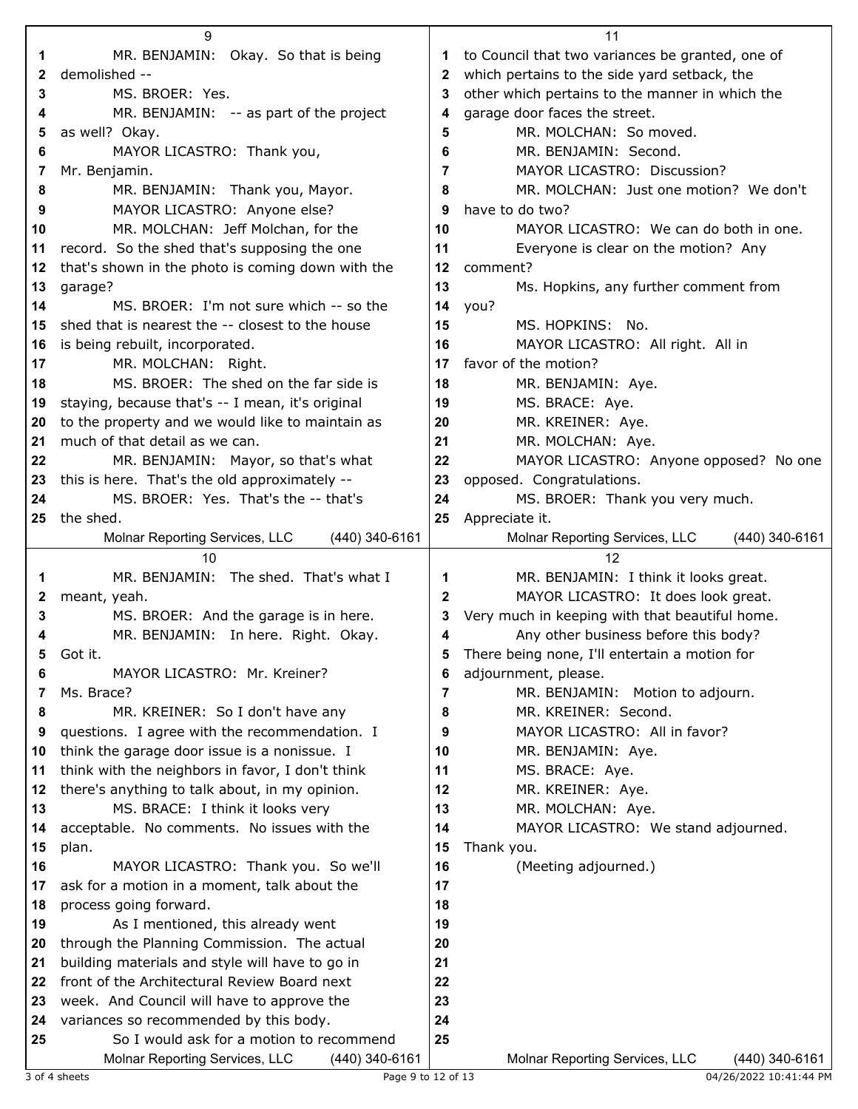|              | 9                                                                      |          | 11                                               |
|--------------|------------------------------------------------------------------------|----------|--------------------------------------------------|
| 1            | MR. BENJAMIN: Okay. So that is being                                   | 1        | to Council that two variances be granted, one of |
| 2            | demolished --                                                          | 2        | which pertains to the side yard setback, the     |
| 3            | MS. BROER: Yes.                                                        | 3        | other which pertains to the manner in which the  |
| 4            | MR. BENJAMIN: -- as part of the project                                | 4        | garage door faces the street.                    |
| 5            | as well? Okay.                                                         | 5        | MR. MOLCHAN: So moved.                           |
| 6            | MAYOR LICASTRO: Thank you,                                             | 6        | MR. BENJAMIN: Second.                            |
| 7            | Mr. Benjamin.                                                          | 7        | MAYOR LICASTRO: Discussion?                      |
| 8            | MR. BENJAMIN: Thank you, Mayor.                                        | 8        | MR. MOLCHAN: Just one motion? We don't           |
| 9            | MAYOR LICASTRO: Anyone else?                                           | 9        | have to do two?                                  |
| 10           | MR. MOLCHAN: Jeff Molchan, for the                                     | 10       | MAYOR LICASTRO: We can do both in one.           |
| 11           | record. So the shed that's supposing the one                           | 11       | Everyone is clear on the motion? Any             |
| 12           | that's shown in the photo is coming down with the                      | 12       | comment?                                         |
| 13           | garage?                                                                | 13       | Ms. Hopkins, any further comment from            |
| 14           | MS. BROER: I'm not sure which -- so the                                | 14       | you?                                             |
| 15           | shed that is nearest the -- closest to the house                       | 15       | MS. HOPKINS: No.                                 |
| 16           | is being rebuilt, incorporated.                                        | 16       | MAYOR LICASTRO: All right. All in                |
| 17           | MR. MOLCHAN: Right.                                                    | 17       | favor of the motion?                             |
| 18           | MS. BROER: The shed on the far side is                                 | 18       | MR. BENJAMIN: Aye.                               |
| 19           | staying, because that's -- I mean, it's original                       | 19       | MS. BRACE: Aye.                                  |
| 20           | to the property and we would like to maintain as                       | 20       | MR. KREINER: Aye.                                |
| 21           | much of that detail as we can.                                         | 21       | MR. MOLCHAN: Aye.                                |
| 22           | MR. BENJAMIN: Mayor, so that's what                                    | 22       | MAYOR LICASTRO: Anyone opposed? No one           |
| 23           | this is here. That's the old approximately --                          | 23       | opposed. Congratulations.                        |
| 24           | MS. BROER: Yes. That's the -- that's                                   | 24       | MS. BROER: Thank you very much.                  |
| 25           | the shed.                                                              | 25       | Appreciate it.                                   |
|              | (440) 340-6161<br>Molnar Reporting Services, LLC                       |          | Molnar Reporting Services, LLC<br>(440) 340-6161 |
|              | 10                                                                     |          | 12                                               |
|              |                                                                        |          |                                                  |
| 1            | MR. BENJAMIN: The shed. That's what I                                  | 1        | MR. BENJAMIN: I think it looks great.            |
| $\mathbf{z}$ | meant, yeah.                                                           | 2        | MAYOR LICASTRO: It does look great.              |
| 3            | MS. BROER: And the garage is in here.                                  | 3        | Very much in keeping with that beautiful home.   |
| 4            | MR. BENJAMIN: In here. Right. Okay.                                    | 4        | Any other business before this body?             |
|              | Got it.                                                                |          | There being none, I'll entertain a motion for    |
| 6            | MAYOR LICASTRO: Mr. Kreiner?                                           | 6        | adjournment, please.                             |
| 7            | Ms. Brace?                                                             | 7        | MR. BENJAMIN: Motion to adjourn.                 |
| 8            | MR. KREINER: So I don't have any                                       | 8        | MR. KREINER: Second.                             |
| 9            | questions. I agree with the recommendation. I                          | 9        | MAYOR LICASTRO: All in favor?                    |
| 10           | think the garage door issue is a nonissue. I                           | 10       | MR. BENJAMIN: Aye.                               |
| 11           | think with the neighbors in favor, I don't think                       | 11       | MS. BRACE: Aye.                                  |
| 12           | there's anything to talk about, in my opinion.                         | 12       | MR. KREINER: Aye.                                |
| 13           | MS. BRACE: I think it looks very                                       | 13       | MR. MOLCHAN: Aye.                                |
| 14           | acceptable. No comments. No issues with the                            | 14       | MAYOR LICASTRO: We stand adjourned.              |
| 15<br>16     | plan.                                                                  | 15<br>16 | Thank you.                                       |
| 17           | MAYOR LICASTRO: Thank you. So we'll                                    | 17       | (Meeting adjourned.)                             |
| 18           | ask for a motion in a moment, talk about the<br>process going forward. | 18       |                                                  |
| 19           | As I mentioned, this already went                                      | 19       |                                                  |
| 20           | through the Planning Commission. The actual                            | 20       |                                                  |
| 21           | building materials and style will have to go in                        | 21       |                                                  |
| 22           | front of the Architectural Review Board next                           | 22       |                                                  |
| 23           | week. And Council will have to approve the                             | 23       |                                                  |
| 24           | variances so recommended by this body.                                 | 24       |                                                  |
| 25           | So I would ask for a motion to recommend                               | 25       |                                                  |

3 of 4 sheets **Page 9 to 12 of 13** 04/26/2022 10:41:44 PM